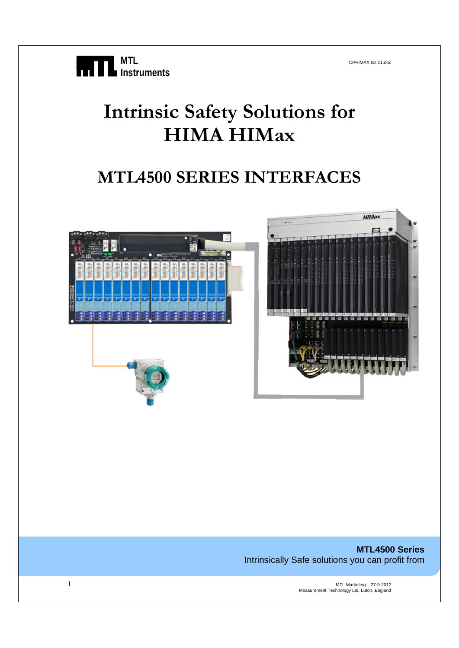# **Intrinsic Safety Solutions for HIMA HIMax**

# **MTL4500 SERIES INTERFACES**



**MTL4500 Series**  Intrinsically Safe solutions you can profit from

1 MTL Marketing 27-9-2012 Measurement Technology Ltd, Luton, England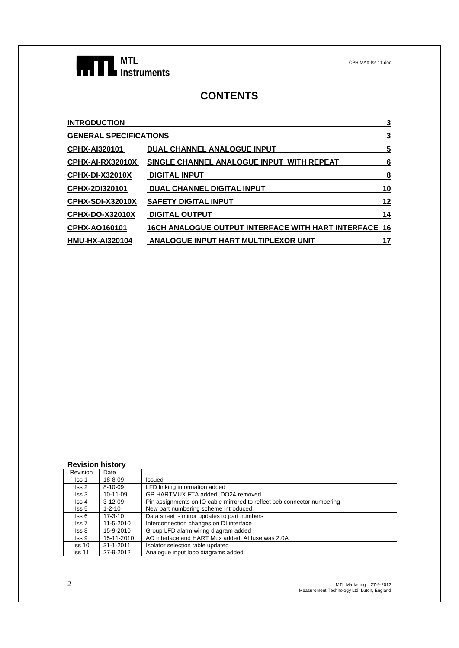

# **CONTENTS**

| <b>INTRODUCTION</b>           |                                                       | 3  |
|-------------------------------|-------------------------------------------------------|----|
| <b>GENERAL SPECIFICATIONS</b> |                                                       | 3  |
| <b>CPHX-AI320101</b>          | DUAL CHANNEL ANALOGUE INPUT                           | 5  |
| <b>CPHX-AI-RX32010X</b>       | SINGLE CHANNEL ANALOGUE INPUT WITH REPEAT             | 6  |
| <b>CPHX-DI-X32010X</b>        | <b>DIGITAL INPUT</b>                                  | 8  |
| CPHX-2DI320101                | <b>DUAL CHANNEL DIGITAL INPUT</b>                     | 10 |
| <u>CPHX-SDI-X32010X</u>       | <b>SAFETY DIGITAL INPUT</b>                           | 12 |
| CPHX-DO-X32010X               | <b>DIGITAL OUTPUT</b>                                 | 14 |
| <b>CPHX-AO160101</b>          | 16CH ANALOGUE OUTPUT INTERFACE WITH HART INTERFACE 16 |    |
| HMU-HX-AI320104               | <b>ANALOGUE INPUT HART MULTIPLEXOR UNIT</b>           | 17 |
|                               |                                                       |    |

|  |  | <b>Revision history</b> |
|--|--|-------------------------|
|  |  |                         |

| Revision          | Date            |                                                                         |
|-------------------|-----------------|-------------------------------------------------------------------------|
| Iss 1             | 18-8-09         | Issued                                                                  |
| $\textsf{lss}\,2$ | 8-10-09         | LFD linking information added                                           |
| $\textsf{lss}3$   | 10-11-09        | GP HARTMUX FTA added, DO24 removed                                      |
| lss 4             | $3-12-09$       | Pin assignments on IO cable mirrored to reflect pcb connector numbering |
| Iss 5             | $1 - 2 - 10$    | New part numbering scheme introduced                                    |
| lss 6             | $17 - 3 - 10$   | Data sheet - minor updates to part numbers                              |
| lss 7             | 11-5-2010       | Interconnection changes on DI interface                                 |
| Iss 8             | 15-9-2010       | Group LFD alarm wiring diagram added                                    |
| Iss 9             | 15-11-2010      | AO interface and HART Mux added. AI fuse was 2.0A                       |
| $\textsf{lss}$ 10 | $31 - 1 - 2011$ | Isolator selection table updated                                        |
| Iss 11            | 27-9-2012       | Analogue input loop diagrams added                                      |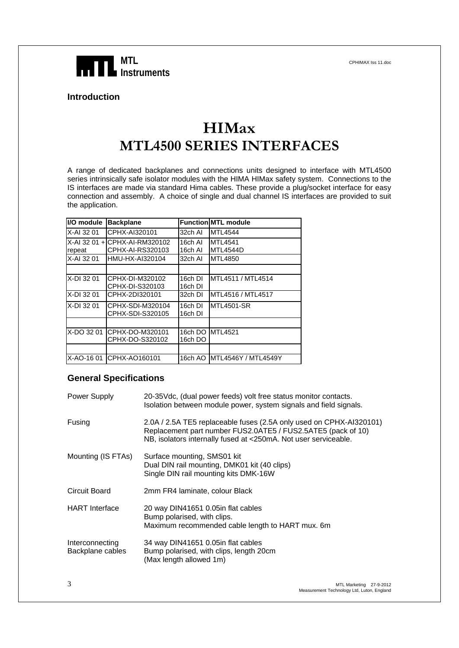

#### **Introduction**

# **HIMax MTL4500 SERIES INTERFACES**

A range of dedicated backplanes and connections units designed to interface with MTL4500 series intrinsically safe isolator modules with the HIMA HIMax safety system. Connections to the IS interfaces are made via standard Hima cables. These provide a plug/socket interface for easy connection and assembly. A choice of single and dual channel IS interfaces are provided to suit the application.

| I/O module | <b>Backplane</b>                                  |                    | <b>Function MTL module</b> |
|------------|---------------------------------------------------|--------------------|----------------------------|
| X-AI 32 01 | CPHX-AI320101                                     | 32ch Al            | <b>MTL4544</b>             |
| repeat     | X-AI 32 01 + CPHX-AI-RM320102<br>CPHX-AI-RS320103 | 16ch Al<br>16ch Al | <b>MTL4541</b><br>MTL4544D |
| X-AI 32 01 | HMU-HX-AI320104                                   | 32ch Al            | <b>MTL4850</b>             |
|            |                                                   |                    |                            |
| X-DI 32 01 | CPHX-DI-M320102<br>CPHX-DI-S320103                | 16ch DI<br>16ch DI | MTL4511 / MTL4514          |
| X-DI 32 01 | CPHX-2DI320101                                    | 32ch DI            | MTL4516 / MTL4517          |
| X-DI 32 01 | CPHX-SDI-M320104<br>CPHX-SDI-S320105              | 16ch DI<br>16ch DI | <b>MTL4501-SR</b>          |
|            |                                                   |                    |                            |
| X-DO 32 01 | CPHX-DO-M320101<br>CPHX-DO-S320102                | 16ch DO            | 16ch DO MTL4521            |
|            |                                                   |                    |                            |
|            | X-AO-16 01 CPHX-AO160101                          | 16ch AO            | <b>MTL4546Y / MTL4549Y</b> |

#### **General Specifications**

| Power Supply                        | 20-35Vdc, (dual power feeds) volt free status monitor contacts.<br>Isolation between module power, system signals and field signals.                                                                   |
|-------------------------------------|--------------------------------------------------------------------------------------------------------------------------------------------------------------------------------------------------------|
| Fusing                              | 2.0A / 2.5A TE5 replaceable fuses (2.5A only used on CPHX-AI320101)<br>Replacement part number FUS2.0ATE5 / FUS2.5ATE5 (pack of 10)<br>NB, isolators internally fused at <250mA. Not user serviceable. |
| Mounting (IS FTAs)                  | Surface mounting, SMS01 kit<br>Dual DIN rail mounting, DMK01 kit (40 clips)<br>Single DIN rail mounting kits DMK-16W                                                                                   |
| Circuit Board                       | 2mm FR4 laminate, colour Black                                                                                                                                                                         |
| <b>HART</b> Interface               | 20 way DIN41651 0.05in flat cables<br>Bump polarised, with clips.<br>Maximum recommended cable length to HART mux. 6m                                                                                  |
| Interconnecting<br>Backplane cables | 34 way DIN41651 0.05in flat cables<br>Bump polarised, with clips, length 20cm<br>(Max length allowed 1m)                                                                                               |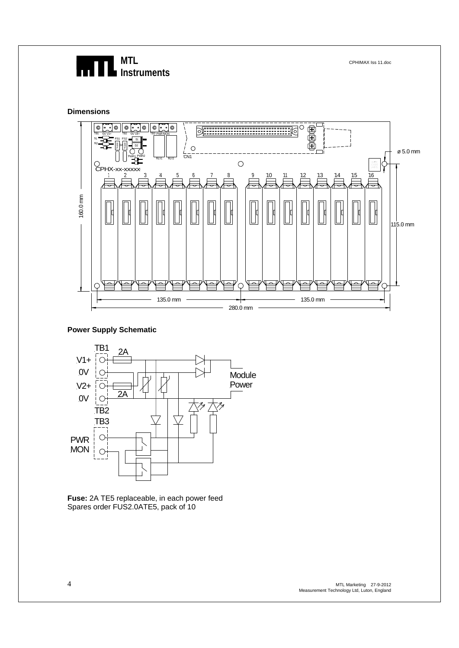#### **Dimensions**



#### **Power Supply Schematic**



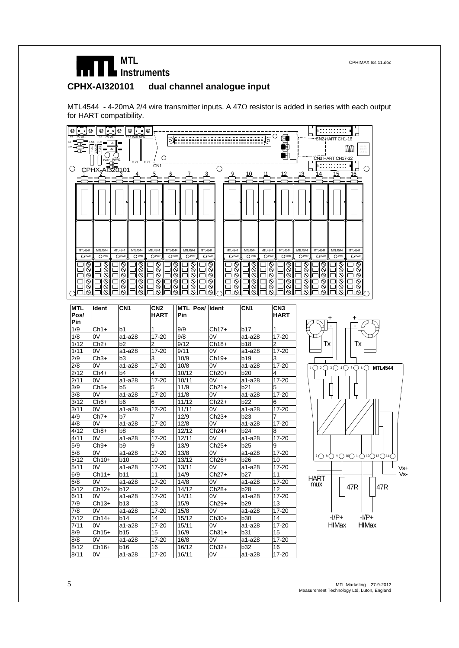# **CPHX-AI320101 dual channel analogue input**

MTL4544 **-** 4-20mA 2/4 wire transmitter inputs. A 47Ω resistor is added in series with each output for HART compatibility.



| <b>MTL</b><br>Pos/ | Ident   | CN <sub>1</sub> | CN2<br><b>HART</b> | MTL Pos/ Ident<br><b>Pin</b> |         | CN <sub>1</sub> | CN <sub>3</sub><br><b>HART</b> |
|--------------------|---------|-----------------|--------------------|------------------------------|---------|-----------------|--------------------------------|
| Pin                |         |                 |                    |                              |         |                 |                                |
| 1/9                | $Ch1+$  | b <sub>1</sub>  | 1                  | 9/9                          | $Ch17+$ | b17             | $\mathbf{1}$                   |
| 1/8                | 0V      | a1-a28          | 17-20              | 9/8                          | 0V      | a1-a28          | $17 - 20$                      |
| 1/12               | $Ch2+$  | b <sub>2</sub>  | $\overline{2}$     | 9/12                         | $Ch18+$ | <b>b18</b>      | 2                              |
| 1/11               | 0V      | a1-a28          | 17-20              | 9/11                         | 0V      | a1-a28          | 17-20                          |
| 2/9                | $Ch3+$  | b <sub>3</sub>  | 3                  | 10/9                         | $Ch19+$ | <b>b19</b>      | 3                              |
| 2/8                | 0V      | a1-a28          | $17 - 20$          | 10/8                         | 0V      | a1-a28          | $17 - 20$                      |
| 2/12               | $Ch4+$  | b4              | 4                  | 10/12                        | $Ch20+$ | b20             | 4                              |
| 2/11               | 0V      | a1-a28          | $17 - 20$          | 10/11                        | 0V      | a1-a28          | $17 - 20$                      |
| 3/9                | $Ch5+$  | b <sub>5</sub>  | 5                  | 11/9                         | $Ch21+$ | b21             | 5                              |
| 3/8                | 0V      | a1-a28          | 17-20              | 11/8                         | 0V      | a1-a28          | 17-20                          |
| 3/12               | $Ch6+$  | b <sub>6</sub>  | 6                  | 11/12                        | $Ch22+$ | b22             | 6                              |
| 3/11               | 0V      | a1-a28          | $17 - 20$          | 11/11                        | 0V      | a1-a28          | $17 - 20$                      |
| 4/9                | $Ch7+$  | b7              | $\overline{7}$     | 12/9                         | $Ch23+$ | b23             | $\overline{7}$                 |
| 4/8                | 0V      | a1-a28          | 17-20              | 12/8                         | 0V      | a1-a28          | $17 - 20$                      |
| 4/12               | $Ch8+$  | b <sub>8</sub>  | 8                  | 12/12                        | $Ch24+$ | b24             | 8                              |
| 4/11               | 0V      | a1-a28          | 17-20              | 12/11                        | 0V      | a1-a28          | 17-20                          |
| 5/9                | $Ch9+$  | b9              | 9                  | 13/9                         | $Ch25+$ | b25             | 9                              |
| 5/8                | 0V      | a1-a28          | $17 - 20$          | 13/8                         | 0V      | a1-a28          | $17 - 20$                      |
| 5/12               | $Ch10+$ | <b>b10</b>      | 10                 | 13/12                        | $Ch26+$ | <b>b26</b>      | 10                             |
| 5/11               | 0V      | a1-a28          | 17-20              | 13/11                        | 0V      | a1-a28          | $17 - 20$                      |
| 6/9                | $Ch11+$ | b11             | 11                 | 14/9                         | $Ch27+$ | b27             | 11                             |
| 6/8                | 0V      | a1-a28          | 17-20              | 14/8                         | 0V      | a1-a28          | $17 - 20$                      |
| 6/12               | $Ch12+$ | b12             | 12                 | 14/12                        | $Ch28+$ | <b>b28</b>      | 12                             |
| 6/11               | 0V      | a1-a28          | 17-20              | 14/11                        | 0V      | a1-a28          | 17-20                          |
| 7/9                | $Ch13+$ | b13             | 13                 | 15/9                         | $Ch29+$ | b29             | 13                             |
| 7/8                | 0V      | a1-a28          | 17-20              | 15/8                         | 0V      | a1-a28          | 17-20                          |
| 7/12               | $Ch14+$ | b14             | 14                 | 15/12                        | $Ch30+$ | <b>b30</b>      | 14                             |
| 7/11               | 0V      | a1-a28          | 17-20              | 15/11                        | 0V      | a1-a28          | 17-20                          |
| 8/9                | $Ch15+$ | b15             | 15                 | 16/9                         | $Ch31+$ | b31             | 15                             |
| 8/8                | 0V      | a1-a28          | 17-20              | 16/8                         | 0V      | a1-a28          | 17-20                          |
| 8/12               | $Ch16+$ | <b>b16</b>      | 16                 | 16/12                        | $Ch32+$ | b32             | 16                             |
| 8/11               | 0V      | a1-a28          | 17-20              | 16/11                        | 0V      | a1-a28          | 17-20                          |

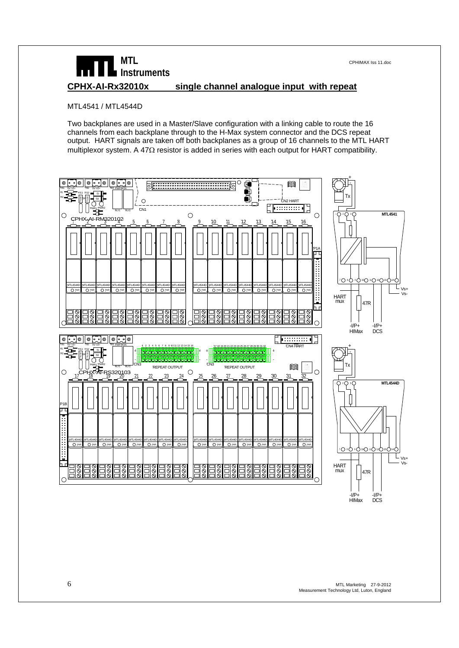# **MTL** CPHIMAX Iss 11.doc **Instruments CPHX-AI-Rx32010x single channel analogue input with repeat**

#### MTL4541 / MTL4544D

Two backplanes are used in a Master/Slave configuration with a linking cable to route the 16 channels from each backplane through to the H-Max system connector and the DCS repeat output. HART signals are taken off both backplanes as a group of 16 channels to the MTL HART multiplexor system. A 47Ω resistor is added in series with each output for HART compatibility.

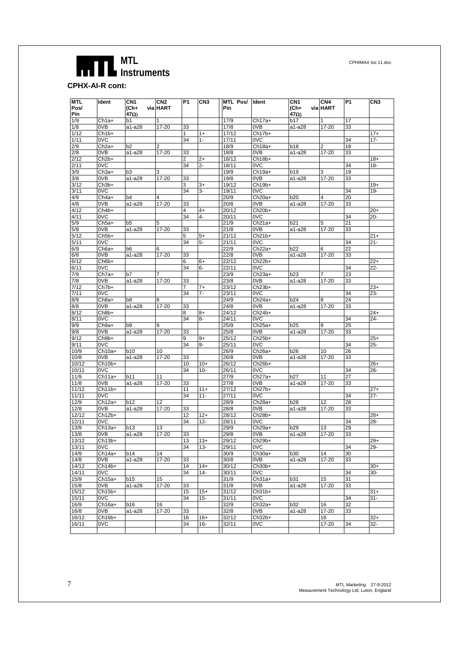**CPHX-AI-R cont:** 

| <b>MTL</b>    | Ident             | CN <sub>1</sub>      | CN <sub>2</sub> | P1       | CN3            | MTL Pos/ Ident |                    | CN <sub>1</sub> | CN <sub>4</sub> | P1 | CN <sub>3</sub> |
|---------------|-------------------|----------------------|-----------------|----------|----------------|----------------|--------------------|-----------------|-----------------|----|-----------------|
| Pos/          |                   | (Ch+                 | via HART        |          |                | Pin            |                    | (Ch+            | via HART        |    |                 |
| Pin           |                   | 47Ω)                 |                 |          |                |                |                    | 47Ω)            |                 |    |                 |
| 1/9           | $Ch1a+$           | b1                   |                 |          |                | 17/9           | $Ch17a+$           | b17             | 1               | 17 |                 |
| 1/8           | 0VB               | a1-a28               | 17-20           | 33       |                | 17/8           | 0VB                | a1-a28          | 17-20           | 33 |                 |
| 1/12          | $Ch1b+$           |                      |                 | 1        | $1+$           | 17/12          | $Ch17b+$           |                 |                 |    | $17+$           |
| 1/11          | 0VC               |                      |                 | 34       | $1 -$          | 17/11          | 0VC                |                 |                 | 34 | $17 -$          |
| 2/9           | $Ch2a+$           | b <sub>2</sub>       | 2               |          |                | 18/9           | Ch18a+             | <b>b18</b>      | 2               | 18 |                 |
| 2/8           | 0VB               | a1-a28               | 17-20           | 33       |                | 18/8           | 0VB                | a1-a28          | 17-20           | 33 |                 |
| 2/12          | $Ch2b+$           |                      |                 | 2        | $2+$           | 18/12          | Ch18b+             |                 |                 |    | $18+$           |
| 2/11          | 0VC               |                      |                 | 34       | $2-$           | 18/11          | 0VC                |                 |                 | 34 | $18 -$          |
| 3/9           | $Ch3a+$           | bЗ                   | 3               |          |                | 19/9           | Ch19a+             | b19             | 3               | 19 |                 |
| 3/8           | 0VB               | a1-a28               | 17-20           | 33       |                | 19/8           | 0VB                | a1-a28          | 17-20           | 33 |                 |
| 3/12          | $Ch3b+$           |                      |                 | 3        | 3+             | 19/12          | Ch19b+             |                 |                 |    | $19+$           |
| 3/11          | 0VC               |                      |                 | 34       | 3-             | 19/11          | 0VC                |                 |                 | 34 | $19 -$          |
| 4/9           | $Ch4a+$           | b4                   | 4               |          |                | 20/9           | Ch20a+             | b20             | 4               | 20 |                 |
| 4/8           | 0VB               | a1-a28               | 17-20           | 33       |                | 20/8           | 0VB                | a1-a28          | 17-20           | 33 |                 |
| 4/12          | $Ch4b+$           |                      |                 | 4        | $4+$           | 20/12          | Ch20b+             |                 |                 |    | $20+$           |
| 4/11          | 0VC               |                      |                 | 34       | $\overline{4}$ | 20/11          | 0VC                |                 |                 | 34 | $20 -$          |
| 5/9           | Ch <sub>5a+</sub> | b5                   | 5               |          |                | 21/9           | Ch21a+             | b21             | 5               | 21 |                 |
| 5/8           | 0VB               | a1-a28               | 17-20           | 33       |                | 21/8           | 0VB                | a1-a28          | 17-20           | 33 |                 |
| 5/12          | Ch <sub>5b+</sub> |                      |                 | 5        | $5+$           | 21/12          | Ch21b+             |                 |                 |    | 21+             |
| 5/11          | 0VC               |                      |                 | 34       | 5-             | 21/11          | 0VC                |                 |                 | 34 | 21-             |
| 6/9           | Ch6a+             | b6                   | 6               |          |                | 22/9           | Ch22a+             | b22             | 6               | 22 |                 |
| 6/8           | 0VB               | a1-a28               | 17-20           | 33       |                | 22/8           | 0VB                | a1-a28          | 17-20           | 33 |                 |
| 6/12          | $Ch6b+$           |                      |                 | 6        | 6+             | 22/12          | Ch22b+             |                 |                 |    | $22+$           |
| 6/11          | 0VC               |                      |                 | 34       | $6-$           | 22/11          | 0VC                |                 |                 | 34 | $22 -$          |
| 7/9           | $Ch7a+$           | b7                   |                 |          |                | 23/9           | $Ch23a+$           | <b>b23</b>      |                 | 23 |                 |
| 7/8           | 0VB               | a1-a28               | 17-20           | 33       |                | 23/8           | 0VB                | a1-a28          | 17-20           | 33 |                 |
| 7/12          | $Ch7b+$           |                      |                 | 7        | $7+$           | 23/12          | $Ch23b+$           |                 |                 |    | $23+$           |
| 7/11          | 0VC               |                      |                 | 34       | $7-$           | 23/11          | 0VC                |                 |                 | 34 | $23 -$          |
| 8/9           | Ch <sub>8a+</sub> | b8                   | 8               |          |                | 24/9           | Ch24a+             | b24             | 8               | 24 |                 |
| 8/8           | 0VB               | a1-a28               | $17 - 20$       | 33       |                | 24/8           | 0VB                | a1-a28          | 17-20           | 33 |                 |
| 8/12          | Ch8b+             |                      |                 | 8        | 8+             | 24/12          | Ch24b+             |                 |                 |    | $24+$           |
| 8/11          | 0VC               |                      |                 | 34       | 8-             | 24/11          | 0VC                |                 |                 | 34 | $24 -$          |
| 9/9           | $Ch9a+$           | b9                   | 9               |          |                | 25/9           | Ch25a+             | b25             | 9               | 25 |                 |
| 9/8           | 0VB               | a1-a28               | 17-20           | 33       |                | 25/8           | 0VB                | a1-a28          | 17-20           | 33 |                 |
| 9/12          | $Ch9b+$           |                      |                 | 9        | $9+$           | 25/12          | $Ch25b+$           |                 |                 |    | $25+$           |
| 9/11          | 0VC               |                      |                 | 34       | 9-             | 25/11          | 0VC                |                 |                 | 34 | 25-             |
| 10/9          | $Ch10a+$          | b10                  | 10              |          |                | 26/9           | Ch26a+             | b26             | 10              | 26 |                 |
| 10/8          | 0VB               | a1-a28               | 17-20           | 33       |                | 26/8           | 0VB                | a1-a28          | 17-20           | 33 |                 |
| 10/12         | Ch10b+            |                      |                 | 10       | $10+$          | 26/12          | Ch26b+             |                 |                 |    | $26+$           |
| 10/11         | 0VC               |                      |                 | 34       | $10 -$         | 26/11          | 0VC                |                 |                 | 34 | 26-             |
| 11/9          | Ch11a+            | b11                  | 11              |          |                | 27/9           | Ch27a+             | b27             | 11              | 27 |                 |
| 11/8          | 0VB               | a1-a28               | 17-20           | 33       |                | 27/8           | 0VB                | a1-a28          | 17-20           | 33 |                 |
| 11/12         | $Ch11b+$          |                      |                 | 11       | $11+$          | 27/12          | Ch27b+             |                 |                 |    | $27+$           |
| 11/11         | 0VC               |                      |                 | 34       | $11 -$         | 27/11          | 0VC                |                 |                 | 34 | $27 -$          |
| 12/9          | $Ch12a+$          | b12                  | 12              |          |                | 28/9           | Ch28a+             | b28             | 12              | 28 |                 |
| 12/8          | 0VB               | a1-a28               | 17-20           | 33       |                | 28/8           | 0VB                | a1-a28          | 17-20           | 33 |                 |
| 12/12         | $Ch12b+$          |                      |                 | 12       | $12+$          | 28/12          | Ch <sub>28b+</sub> |                 |                 |    | $28+$           |
| 12/11         | 0VC               |                      |                 | 34       | $12 -$         | 28/11          | 0VC                |                 |                 | 34 | 28-             |
| 13/9          | $Ch13a+$          | b13                  | 13              |          |                | 29/9           | Ch <sub>29a+</sub> | b29             | 13              | 29 |                 |
| 13/8          | 0VB               | a1-a28               | 17-20           | 33       |                | 29/8           | 0VB                | a1-a28          | 17-20           | 33 |                 |
| 13/12         | $Ch13b+$          |                      |                 | 13       | $13+$          | 29/12          | $Ch29b+$           |                 |                 |    | $29+$           |
| 13/11         | 0VC               |                      |                 | 34       | $13 -$         | 29/11          | 0 <sub>V</sub> C   |                 |                 | 34 | 29-             |
| 14/9          | Ch14a+            | b14                  | 14              |          |                | 30/9           | $Ch30a+$           | b30             | 14              | 30 |                 |
| 14/8          | 0VB               | a1-a28               | 17-20           | 33       |                | 30/8           | 0VB                | a1-a28          | 17-20           | 33 |                 |
| 14/12         | $Ch14b+$          |                      |                 | 14       | $14+$          | 30/12          | $Ch30b+$           |                 |                 |    | $30+$           |
| 14/11         | 0VC               |                      |                 | 34       | 14-            | 30/11          | 0VC                |                 |                 | 34 | 30-             |
| 15/9          | $Ch15a+$          | b15                  | 15              |          |                | 31/9           | $Ch31a+$           | b31             | 15              | 31 |                 |
| 15/8          | 0VB               | a1-a28               | 17-20           | 33       |                | 31/8           | 0VB                | a1-a28          | 17-20           | 33 |                 |
| 15/12         | $Ch15b+$          |                      |                 | 15       | $15+$          | 31/12          | Ch31b+             |                 |                 |    | 31+             |
| 15/11         | 0VC               |                      |                 | 34       | $15 -$         | 31/11          | 0VC                |                 |                 | 34 | $31 -$          |
| 16/9          | $Ch16a+$          | <b>b16</b><br>a1-a28 | 16              |          |                | 32/9           | Ch32a+             | b32             | 16              | 32 |                 |
| 16/8<br>16/12 | 0VB<br>$Ch16b+$   |                      | 17-20           | 33<br>16 | $16+$          | 32/8<br>32/12  | 0VB<br>Ch32b+      | a1-a28          | 17-20<br>16     | 33 | $32+$           |
| 16/11         | 0VC               |                      |                 | 34       | 16-            | 32/11          | 0VC                |                 | 17-20           | 34 | 32-             |
|               |                   |                      |                 |          |                |                |                    |                 |                 |    |                 |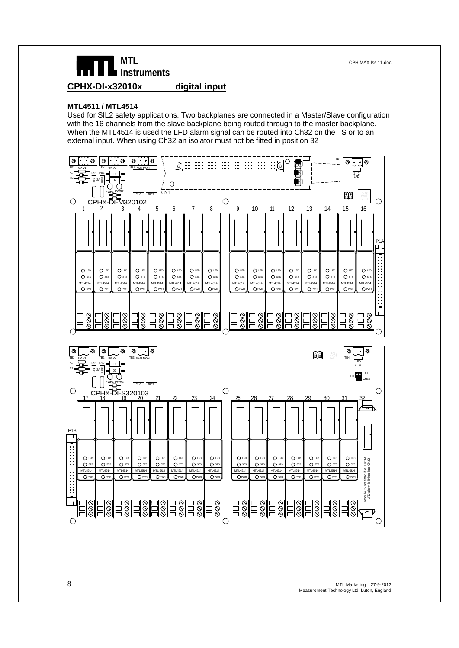

#### **MTL4511 / MTL4514**

Used for SIL2 safety applications. Two backplanes are connected in a Master/Slave configuration with the 16 channels from the slave backplane being routed through to the master backplane. When the MTL4514 is used the LFD alarm signal can be routed into Ch32 on the -S or to an external input. When using Ch32 an isolator must not be fitted in position 32

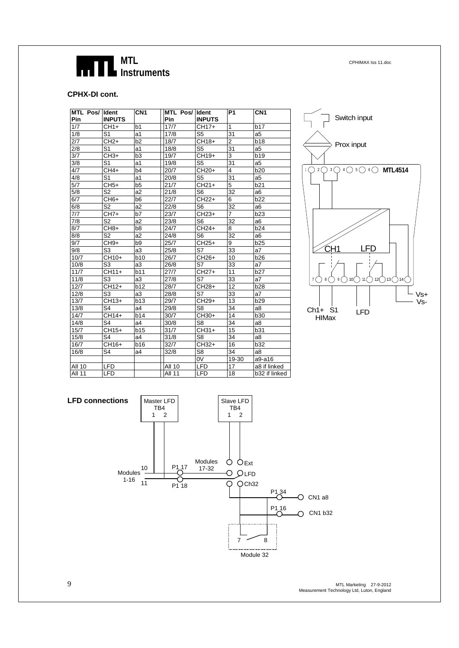

#### **CPHX-DI cont.**

| <b>MTL Pos/Ildent</b> |                          | CN <sub>1</sub> | <b>MTL Pos/Ildent</b> |                | <b>P1</b>       | CN <sub>1</sub> |
|-----------------------|--------------------------|-----------------|-----------------------|----------------|-----------------|-----------------|
| Pin                   | <b>INPUTS</b>            |                 | Pin                   | <b>INPUTS</b>  |                 |                 |
| 1/7                   | $CH1+$                   | b <sub>1</sub>  | 17/7                  | CH17+          | $\mathbf{1}$    | b17             |
| 1/8                   | S <sub>1</sub>           | a1              | 17/8                  | S <sub>5</sub> | 31              | a <sub>5</sub>  |
| $\overline{2/7}$      | $CH2+$                   | b2              | 18/7                  | CH18+          | $\overline{2}$  | <b>b18</b>      |
| 2/8                   | S <sub>1</sub>           | a1              | 18/8                  | S <sub>5</sub> | 31              | a <sub>5</sub>  |
| 3/7                   | CH <sub>3+</sub>         | b <sub>3</sub>  | 19/7                  | CH19+          | 3               | <b>b19</b>      |
| 3/8                   | S <sub>1</sub>           | a1              | 19/8                  | S <sub>5</sub> | $\overline{31}$ | a5              |
| 4/7                   | CH4+                     | b4              | 20/7                  | CH20+          | $\overline{4}$  | <b>b20</b>      |
| 4/8                   | S <sub>1</sub>           | a1              | 20/8                  | S <sub>5</sub> | 31              | a5              |
| 5/7                   | $CH5+$                   | b <sub>5</sub>  | 21/7                  | CH21+          | $\overline{5}$  | b21             |
| 5/8                   | S <sub>2</sub>           | a <sub>2</sub>  | 21/8                  | S <sub>6</sub> | 32              | a6              |
| 6/7                   | CH <sub>6+</sub>         | b <sub>6</sub>  | 22/7                  | CH22+          | 6               | b22             |
| 6/8                   | S <sub>2</sub>           | a2              | 22/8                  | S <sub>6</sub> | 32              | a6              |
| 7/7                   | CH7+                     | b7              | 23/7                  | CH23+          | $\overline{7}$  | b23             |
| 7/8                   | S <sub>2</sub>           | a2              | 23/8                  | S <sub>6</sub> | 32              | a6              |
| 8/7                   | CH <sub>8+</sub>         | b8              | 24/7                  | CH24+          | 8               | b24             |
| 8/8                   | $\overline{\mathsf{S2}}$ | a2              | 24/8                  | S <sub>6</sub> | $\overline{32}$ | a6              |
| 9/7                   | CH <sub>9+</sub>         | b9              | 25/7                  | CH25+          | 9               | b25             |
| 9/8                   | S3                       | a3              | 25/8                  | S7             | 33              | a7              |
| 10/7                  | CH10+                    | <b>b10</b>      | 26/7                  | CH26+          | 10              | <b>b26</b>      |
| 10/8                  | S3                       | a3              | 26/8                  | S7             | 33              | a7              |
| 11/7                  | CH11+                    | b11             | 27/7                  | CH27+          | 11              | b27             |
| 11/8                  | S <sub>3</sub>           | a3              | 27/8                  | S7             | 33              | a7              |
| 12/7                  | CH12+                    | b12             | 28/7                  | CH28+          | 12              | b28             |
| 12/8                  | S <sub>3</sub>           | a3              | 28/8                  | S7             | 33              | a7              |
| 13/7                  | CH13+                    | b13             | 29/7                  | CH29+          | 13              | b29             |
| 13/8                  | S4                       | a4              | 29/8                  | S8             | 34              | a8              |
| 14/7                  | CH14+                    | b14             | 30/7                  | CH30+          | 14              | b30             |
| 14/8                  | S <sub>4</sub>           | a4              | 30/8                  | S8             | 34              | a8              |
| 15/7                  | CH15+                    | b15             | 31/7                  | CH31+          | 15              | b31             |
| 15/8                  | S <sub>4</sub>           | a4              | 31/8                  | S <sub>8</sub> | 34              | a8              |
| 16/7                  | CH16+                    | b16             | 32/7                  | CH32+          | 16              | b32             |
| 16/8                  | S4                       | a4              | 32/8                  | S <sub>8</sub> | 34              | a8              |
|                       |                          |                 |                       | 0V             | 19-30           | a9-a16          |
| All 10                | <b>LFD</b>               |                 | <b>All 10</b>         | <b>LFD</b>     | 17              | a8 if linked    |
| <b>All 11</b>         | <b>LFD</b>               |                 | <b>All 11</b>         | <b>LFD</b>     | 18              | b32 if linked   |





9 MTL Marketing 27-9-2012 Measurement Technology Ltd, Luton, England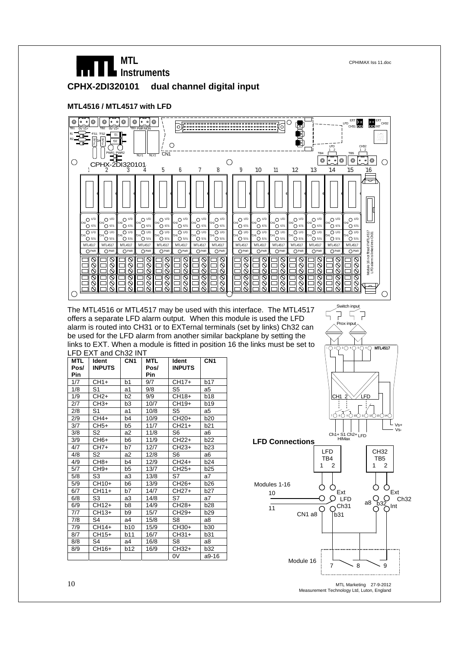# **MTL** CPHIMAX Iss 11.doc **Instruments CPHX-2DI320101 dual channel digital input**

#### **MTL4516 / MTL4517 with LFD**



The MTL4516 or MTL4517 may be used with this interface. The MTL4517 offers a separate LFD alarm output. When this module is used the LFD alarm is routed into CH31 or to EXTernal terminals (set by links) Ch32 can be used for the LFD alarm from another similar backplane by setting the links to EXT. When a module is fitted in position 16 the links must be set to LFD EXT and Ch32 INT

| <b>MTL</b><br>Pos/ | Ident<br><b>INPUTS</b> | CN <sub>1</sub> | MTL<br>Pos/ | Ident<br><b>INPUTS</b> | CN <sub>1</sub> |
|--------------------|------------------------|-----------------|-------------|------------------------|-----------------|
| Pin                |                        |                 | Pin         |                        |                 |
| 1/7                | $CH1+$                 | b <sub>1</sub>  | 9/7         | CH17+                  | b17             |
| 1/8                | S <sub>1</sub>         | a1              | 9/8         | S <sub>5</sub>         | a5              |
| 1/9                | $CH2+$                 | b <sub>2</sub>  | 9/9         | CH18+                  | <b>b18</b>      |
| 2/7                | $CH3+$                 | b <sub>3</sub>  | 10/7        | CH19+                  | b19             |
| 2/8                | S1                     | a1              | 10/8        | S <sub>5</sub>         | a5              |
| 2/9                | $CH4+$                 | b <sub>4</sub>  | 10/9        | CH <sub>20+</sub>      | <b>b20</b>      |
| 3/7                | $CH5+$                 | b5              | 11/7        | $CH21+$                | b21             |
| 3/8                | S2                     | a2              | 11/8        | S6                     | a <sub>6</sub>  |
| 3/9                | $CH6+$                 | b <sub>6</sub>  | 11/9        | $CH22+$                | b22             |
| 4/7                | $CH7+$                 | b7              | 12/7        | CH <sub>23+</sub>      | b <sub>23</sub> |
| 4/8                | S <sub>2</sub>         | a2              | 12/8        | S <sub>6</sub>         | a <sub>6</sub>  |
| 4/9                | $CH8+$                 | b4              | 12/9        | $CH24+$                | b24             |
| 5/7                | $CH9+$                 | b <sub>5</sub>  | 13/7        | $CH25+$                | b <sub>25</sub> |
| 5/8                | S3                     | a3              | 13/8        | S7                     | a7              |
| 5/9                | CH10+                  | b6              | 13/9        | CH <sub>26+</sub>      | b26             |
| 6/7                | CH11+                  | b7              | 14/7        | $CH27+$                | b <sub>27</sub> |
| 6/8                | S3                     | a3              | 14/8        | S7                     | a7              |
| 6/9                | CH12+                  | b8              | 14/9        | $CH28+$                | b28             |
| 7/7                | $CH13+$                | b <sub>9</sub>  | 15/7        | CH29+                  | b29             |
| 7/8                | S <sub>4</sub>         | a4              | 15/8        | S8                     | a8              |
| 7/9                | CH14+                  | b10             | 15/9        | $CH30+$                | b30             |
| 8/7                | $CH15+$                | b11             | 16/7        | $CH31+$                | b31             |
| 8/8                | S4                     | a4              | 16/8        | S8                     | a8              |
| 8/9                | CH16+                  | b12             | 16/9        | $CH32+$                | b32             |
|                    |                        |                 |             | 0V                     | a9-16           |



Prox input

F  $\sqrt{ }$ 

Measurement Technology Ltd, Luton, England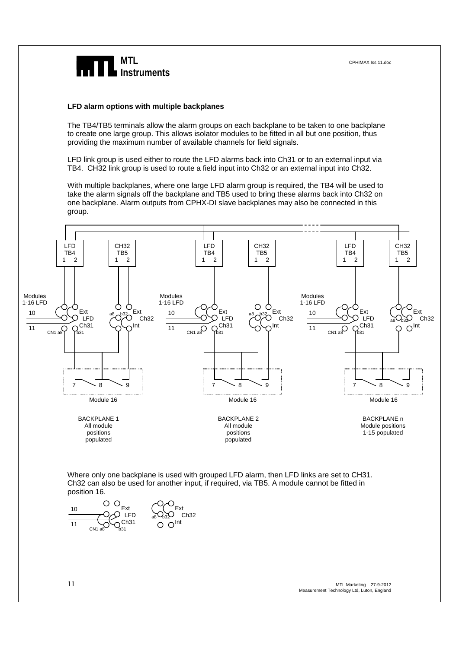

#### **LFD alarm options with multiple backplanes**

The TB4/TB5 terminals allow the alarm groups on each backplane to be taken to one backplane to create one large group. This allows isolator modules to be fitted in all but one position, thus providing the maximum number of available channels for field signals.

LFD link group is used either to route the LFD alarms back into Ch31 or to an external input via TB4. CH32 link group is used to route a field input into Ch32 or an external input into Ch32.

With multiple backplanes, where one large LFD alarm group is required, the TB4 will be used to take the alarm signals off the backplane and TB5 used to bring these alarms back into Ch32 on one backplane. Alarm outputs from CPHX-DI slave backplanes may also be connected in this group.

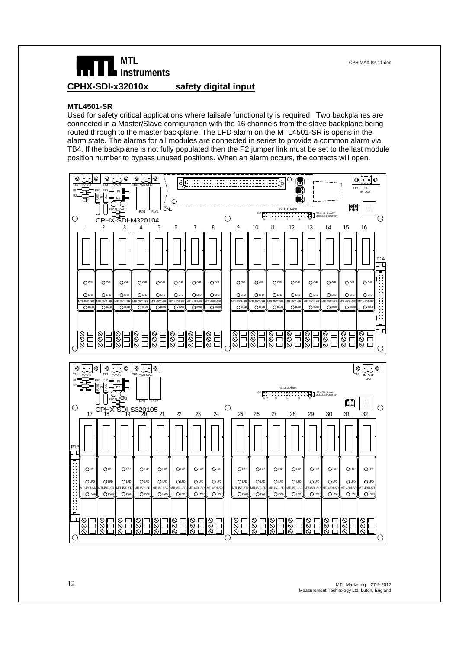

# **MTL** CPHIMAX Iss 11.doc **Instruments CPHX-SDI-x32010x safety digital input**

#### **MTL4501-SR**

Used for safety critical applications where failsafe functionality is required. Two backplanes are connected in a Master/Slave configuration with the 16 channels from the slave backplane being routed through to the master backplane. The LFD alarm on the MTL4501-SR is opens in the alarm state. The alarms for all modules are connected in series to provide a common alarm via TB4. If the backplane is not fully populated then the P2 jumper link must be set to the last module position number to bypass unused positions. When an alarm occurs, the contacts will open.

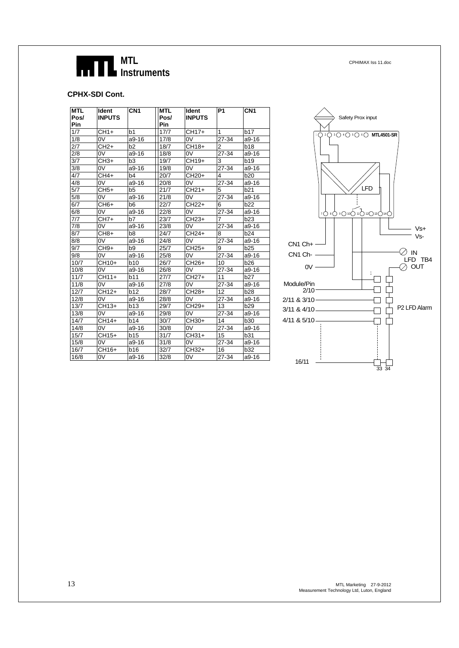

#### **CPHX-SDI Cont.**

| <b>MTL</b> | Ident            | CN <sub>1</sub> | MTL         | ldent             | P <sub>1</sub> | CN <sub>1</sub> |
|------------|------------------|-----------------|-------------|-------------------|----------------|-----------------|
| Pos/       | <b>INPUTS</b>    |                 | Pos/        | <b>INPUTS</b>     |                |                 |
| Pin<br>1/7 | $CH1+$           | b1              | Pin<br>17/7 | CH17+             | $\mathbf{1}$   | b17             |
| 1/8        | 0V               | $a9-16$         | 17/8        | 0V                | 27-34          |                 |
|            |                  |                 |             |                   |                | a9-16           |
| 2/7        | $CH2+$           | b <sub>2</sub>  | 18/7        | CH18+             | $\overline{2}$ | <b>b18</b>      |
| 2/8        | 0V               | $a9-16$         | 18/8        | 0V                | 27-34          | $a9-16$         |
| 3/7        | $CH3+$           | b <sub>3</sub>  | 19/7        | $CH19+$           | 3              | <b>b19</b>      |
| 3/8        | 0V               | $a9-16$         | 19/8        | 0V                | 27-34          | $a9-16$         |
| 4/7        | $CH4+$           | b4              | 20/7        | CH <sub>20+</sub> | 4              | <b>b20</b>      |
| 4/8        | 0V               | a9-16           | 20/8        | 0V                | 27-34          | a9-16           |
| 5/7        | $CH5+$           | b5              | 21/7        | $CH21+$           | 5              | b21             |
| 5/8        | 0V               | $a9-16$         | 21/8        | 0V                | 27-34          | a9-16           |
| 6/7        | CH <sub>6+</sub> | b6              | 22/7        | $CH22+$           | 6              | b22             |
| 6/8        | 0V               | $a9-16$         | 22/8        | 0V                | 27-34          | $a9-16$         |
| 7/7        | $CH7+$           | b7              | 23/7        | CH23+             | $\overline{7}$ | b23             |
| 7/8        | 0V               | $a9-16$         | 23/8        | 0V                | 27-34          | $a9-16$         |
| 8/7        | CH <sub>8+</sub> | b8              | 24/7        | CH24+             | 8              | b24             |
| 8/8        | 0V               | a9-16           | 24/8        | 0V                | 27-34          | a9-16           |
| 9/7        | $CH9+$           | b9              | 25/7        | $CH25+$           | 9              | b25             |
| 9/8        | 0V               | $a9-16$         | 25/8        | 0V                | 27-34          | $a9-16$         |
| 10/7       | CH10+            | <b>b10</b>      | 26/7        | CH26+             | 10             | <b>b26</b>      |
| 10/8       | 0V               | $a9-16$         | 26/8        | 0V                | 27-34          | $a9-16$         |
| 11/7       | $CH11+$          | b11             | 27/7        | $CH27+$           | 11             | <b>b27</b>      |
| 11/8       | 0V               | $a9-16$         | 27/8        | 0V                | 27-34          | a9-16           |
| 12/7       | CH12+            | b12             | 28/7        | CH28+             | 12             | <b>b28</b>      |
| 12/8       | 0V               | a9-16           | 28/8        | 0V                | 27-34          | a9-16           |
| 13/7       | $CH13+$          | b13             | 29/7        | CH29+             | 13             | b29             |
| 13/8       | 0V               | $a9-16$         | 29/8        | 0V                | 27-34          | $a9-16$         |
| 14/7       | CH14+            | b14             | 30/7        | CH30+             | 14             | <b>b30</b>      |
| 14/8       | 0V               | $a9-16$         | 30/8        | 0V                | 27-34          | $a9-16$         |
| 15/7       | $CH15+$          | b15             | 31/7        | $CH31+$           | 15             | b31             |
| 15/8       | 0V               | a9-16           | 31/8        | 0V                | 27-34          | $a9-16$         |
| 16/7       | CH16+            | b16             | 32/7        | CH32+             | 16             | <b>b32</b>      |
| 16/8       | 0V               | a9-16           | 32/8        | 0V                | 27-34          | $a9-16$         |

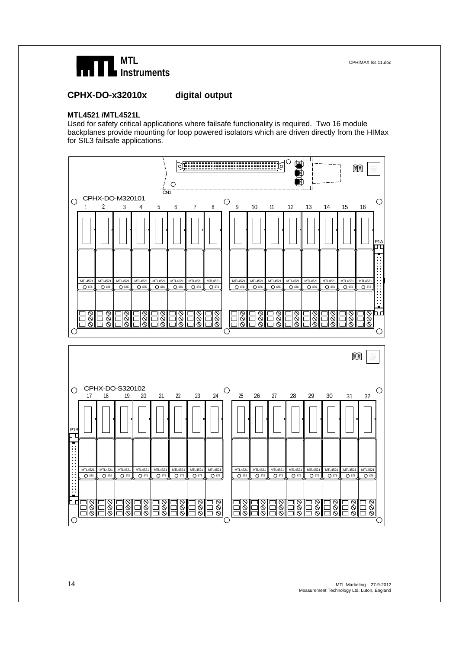

#### **CPHX-DO-x32010x digital output**

#### **MTL4521 /MTL4521L**

Used for safety critical applications where failsafe functionality is required. Two 16 module backplanes provide mounting for loop powered isolators which are driven directly from the HIMax for SIL3 failsafe applications.



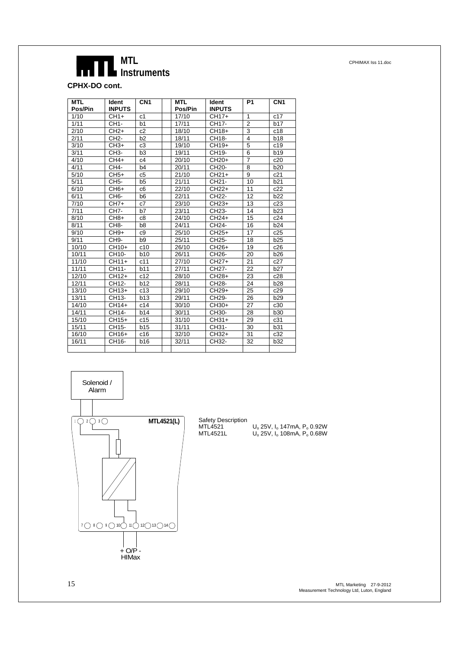**CPHX-DO cont.** 

| <b>MTL</b> | <b>Ident</b>      | CN <sub>1</sub> | <b>MTL</b> | Ident              | P <sub>1</sub>          | CN <sub>1</sub> |
|------------|-------------------|-----------------|------------|--------------------|-------------------------|-----------------|
| Pos/Pin    | <b>INPUTS</b>     |                 | Pos/Pin    | <b>INPUTS</b>      |                         |                 |
| 1/10       | $CH1+$            | c <sub>1</sub>  | 17/10      | CH17+              | 1                       | c17             |
| 1/11       | CH1-              | b1              | 17/11      | CH17-              | $\overline{2}$          | <b>b17</b>      |
| 2/10       | $CH2+$            | c2              | 18/10      | CH18+              | 3                       | c18             |
| 2/11       | CH <sub>2</sub> - | b2              | 18/11      | CH18-              | $\overline{\mathbf{4}}$ | <b>b18</b>      |
| 3/10       | $CH3+$            | c3              | 19/10      | $CH19+$            | 5                       | c19             |
| 3/11       | CH3-              | b3              | 19/11      | CH19-              | 6                       | b19             |
| 4/10       | CH4+              | c4              | 20/10      | $CH20+$            | $\overline{7}$          | c20             |
| 4/11       | CH4-              | b <sub>4</sub>  | 20/11      | CH <sub>20</sub> - | 8                       | <b>b20</b>      |
| 5/10       | $CH5+$            | c5              | 21/10      | $CH21+$            | 9                       | c21             |
| 5/11       | CH <sub>5</sub> - | b <sub>5</sub>  | 21/11      | CH <sub>21</sub> - | 10                      | b21             |
| 6/10       | $CH6+$            | c <sub>6</sub>  | 22/10      | $CH22+$            | 11                      | c22             |
| 6/11       | CH <sub>6</sub> - | b <sub>6</sub>  | 22/11      | CH <sub>22</sub> - | 12                      | b22             |
| 7/10       | $CH7+$            | c7              | 23/10      | $CH23+$            | 13                      | c23             |
| 7/11       | CH <sub>7</sub> - | b7              | 23/11      | CH23-              | 14                      | b23             |
| 8/10       | $CH8+$            | c8              | 24/10      | $CH24+$            | 15                      | c24             |
| 8/11       | CH <sub>8</sub> - | b8              | 24/11      | CH24-              | 16                      | b24             |
| 9/10       | $CH9+$            | c9              | 25/10      | $CH25+$            | 17                      | c25             |
| 9/11       | CH <sub>9</sub> - | b <sub>9</sub>  | 25/11      | CH25-              | 18                      | b25             |
| 10/10      | CH <sub>10+</sub> | c10             | 26/10      | $CH26+$            | 19                      | c26             |
| 10/11      | CH10-             | <b>b10</b>      | 26/11      | CH <sub>26</sub> - | 20                      | <b>b26</b>      |
| 11/10      | $CH11+$           | c11             | 27/10      | $CH27+$            | 21                      | c27             |
| 11/11      | CH11-             | b11             | 27/11      | CH <sub>27</sub> - | 22                      | b27             |
| 12/10      | CH12+             | c12             | 28/10      | CH <sub>28+</sub>  | 23                      | c28             |
| 12/11      | CH12-             | b12             | 28/11      | CH28-              | 24                      | <b>b28</b>      |
| 13/10      | $CH13+$           | c13             | 29/10      | $CH29+$            | 25                      | c29             |
| 13/11      | CH13-             | b13             | 29/11      | CH <sub>29</sub> - | 26                      | <b>b29</b>      |
| 14/10      | CH14+             | c14             | 30/10      | CH30+              | 27                      | c30             |
| 14/11      | CH14-             | b14             | 30/11      | CH30-              | 28                      | b30             |
| 15/10      | CH15+             | c15             | 31/10      | $CH31+$            | 29                      | c31             |
| 15/11      | CH15-             | b15             | 31/11      | CH31-              | 30                      | b31             |
| 16/10      | CH16+             | c16             | 32/10      | $CH32+$            | 31                      | c32             |
| 16/11      | CH16-             | b16             | 32/11      | CH32-              | 32                      | <b>b32</b>      |
|            |                   |                 |            |                    |                         |                 |



Safety Description

 $MTL4521$  U<sub>o</sub> 25V, I<sub>o</sub> 147mA, P<sub>o</sub> 0.92W MTL4521L Uo 25V, Io 108mA, Po 0.68W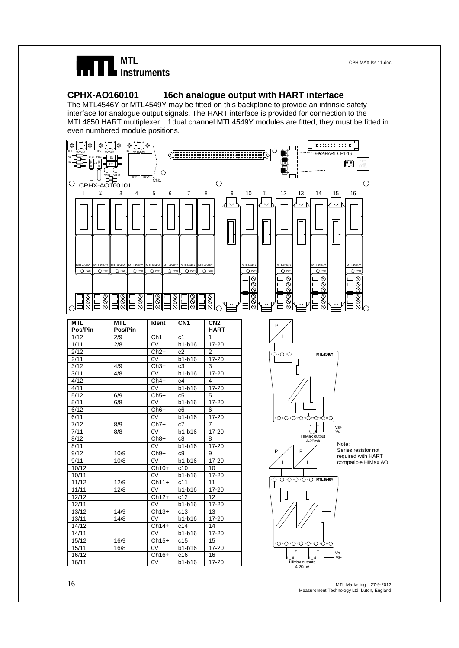

#### **CPHX-AO160101 16ch analogue output with HART interface**

The MTL4546Y or MTL4549Y may be fitted on this backplane to provide an intrinsic safety interface for analogue output signals. The HART interface is provided for connection to the MTL4850 HART multiplexer. If dual channel MTL4549Y modules are fitted, they must be fitted in even numbered module positions.



16 MTL Marketing 27-9-2012 Measurement Technology Ltd, Luton, England